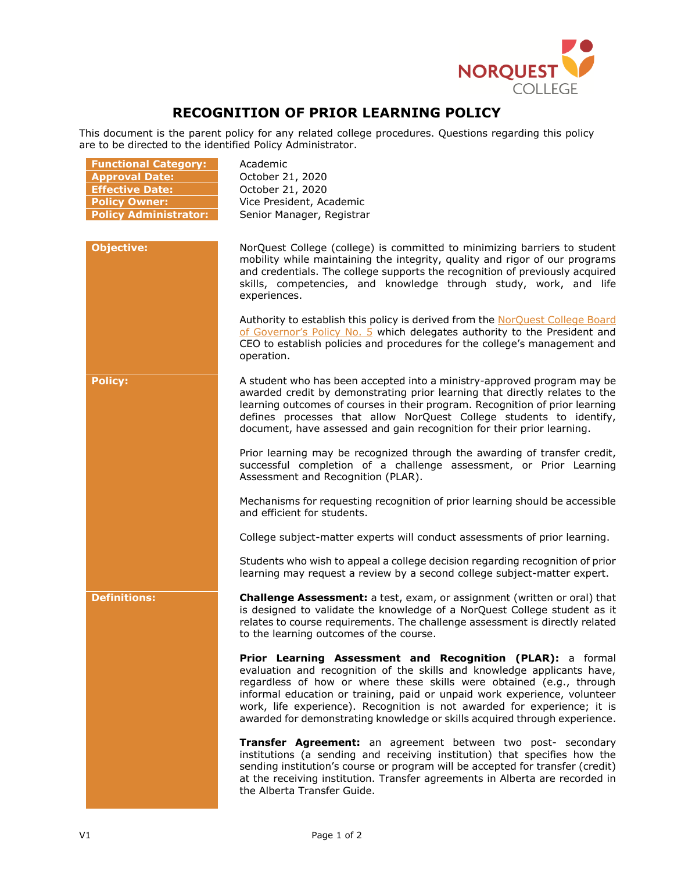

## **RECOGNITION OF PRIOR LEARNING POLICY**

This document is the parent policy for any related college procedures. Questions regarding this policy are to be directed to the identified Policy Administrator.

| <b>Functional Category:</b><br><b>Approval Date:</b><br><b>Effective Date:</b><br><b>Policy Owner:</b><br><b>Policy Administrator:</b> | Academic<br>October 21, 2020<br>October 21, 2020<br>Vice President, Academic<br>Senior Manager, Registrar                                                                                                                                                                                                                                                                                                                                            |
|----------------------------------------------------------------------------------------------------------------------------------------|------------------------------------------------------------------------------------------------------------------------------------------------------------------------------------------------------------------------------------------------------------------------------------------------------------------------------------------------------------------------------------------------------------------------------------------------------|
| <b>Objective:</b>                                                                                                                      | NorQuest College (college) is committed to minimizing barriers to student<br>mobility while maintaining the integrity, quality and rigor of our programs<br>and credentials. The college supports the recognition of previously acquired<br>skills, competencies, and knowledge through study, work, and life<br>experiences.                                                                                                                        |
|                                                                                                                                        | Authority to establish this policy is derived from the NorQuest College Board<br>of Governor's Policy No. 5 which delegates authority to the President and<br>CEO to establish policies and procedures for the college's management and<br>operation.                                                                                                                                                                                                |
| <b>Policy:</b>                                                                                                                         | A student who has been accepted into a ministry-approved program may be<br>awarded credit by demonstrating prior learning that directly relates to the<br>learning outcomes of courses in their program. Recognition of prior learning<br>defines processes that allow NorQuest College students to identify,<br>document, have assessed and gain recognition for their prior learning.                                                              |
|                                                                                                                                        | Prior learning may be recognized through the awarding of transfer credit,<br>successful completion of a challenge assessment, or Prior Learning<br>Assessment and Recognition (PLAR).                                                                                                                                                                                                                                                                |
|                                                                                                                                        | Mechanisms for requesting recognition of prior learning should be accessible<br>and efficient for students.                                                                                                                                                                                                                                                                                                                                          |
|                                                                                                                                        | College subject-matter experts will conduct assessments of prior learning.                                                                                                                                                                                                                                                                                                                                                                           |
|                                                                                                                                        | Students who wish to appeal a college decision regarding recognition of prior<br>learning may request a review by a second college subject-matter expert.                                                                                                                                                                                                                                                                                            |
| <b>Definitions:</b>                                                                                                                    | Challenge Assessment: a test, exam, or assignment (written or oral) that<br>is designed to validate the knowledge of a NorQuest College student as it<br>relates to course requirements. The challenge assessment is directly related<br>to the learning outcomes of the course.                                                                                                                                                                     |
|                                                                                                                                        | Prior Learning Assessment and Recognition (PLAR): a formal<br>evaluation and recognition of the skills and knowledge applicants have,<br>regardless of how or where these skills were obtained (e.g., through<br>informal education or training, paid or unpaid work experience, volunteer<br>work, life experience). Recognition is not awarded for experience; it is<br>awarded for demonstrating knowledge or skills acquired through experience. |
|                                                                                                                                        | Transfer Agreement: an agreement between two post- secondary<br>institutions (a sending and receiving institution) that specifies how the<br>sending institution's course or program will be accepted for transfer (credit)<br>at the receiving institution. Transfer agreements in Alberta are recorded in<br>the Alberta Transfer Guide.                                                                                                           |